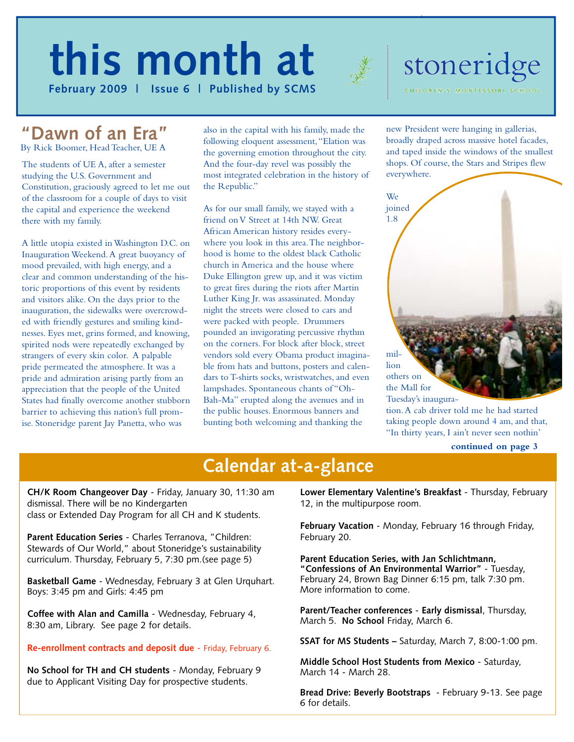# **Text Here this month at**



#### **F e b ru a ry 2009 | Issue 6 | Published by SCMS**

# stoneridge CHILDREN'S MONTESSORI SCHO

#### **"Dawn of an Era"**  By Rick Boomer, Head Teacher, UE A

The students of UE A, after a semester studying the U.S. Government and Constitution, graciously agreed to let me out of the classroom for a couple of days to visit the capital and experience the weekend there with my family.

A little utopia existed in Washington D.C. on Inauguration Weekend.A great buoyancy of mood prevailed, with high energy, and a clear and common understanding of the historic proportions of this event by residents and visitors alike. On the days prior to the inauguration, the sidewalks were overcrowded with friendly gestures and smiling kindnesses. Eyes met, grins formed, and knowing, spirited nods were repeatedly exchanged by strangers of every skin color. A palpable pride permeated the atmosphere. It was a pride and admiration arising partly from an appreciation that the people of the United States had finally overcome another stubborn barrier to achieving this nation's full promise. Stoneridge parent Jay Panetta, who was

also in the capital with his family, made the following eloquent assessment,"Elation was the governing emotion throughout the city. And the four-day revel was possibly the most integrated celebration in the history of the Republic."

As for our small family, we stayed with a friend on V Street at 14th NW. Great African American history resides everywhere you look in this area.The neighborhood is home to the oldest black Catholic church in America and the house where Duke Ellington grew up, and it was victim to great fires during the riots after Martin Luther King Jr. was assassinated. Monday night the streets were closed to cars and were packed with people. Drummers pounded an invigorating percussive rhythm on the corners. For block after block, street vendors sold every Obama product imaginable from hats and buttons, posters and calendars to T-shirts socks, wristwatches, and even lampshades. Spontaneous chants of "Oh-Bah-Ma" erupted along the avenues and in the public houses. Enormous banners and bunting both welcoming and thanking the

new President were hanging in gallerias, broadly draped across massive hotel facades, and taped inside the windows of the smallest shops. Of course, the Stars and Stripes flew everywhere.



tion.A cab driver told me he had started taking people down around 4 am, and that, "In thirty years, I ain't never seen nothin'

## **Calendar at-a-glance**

**CH/K Room Changeover Day** - Friday, January 30, 11:30 am dismissal. There will be no Kindergarten class or Extended Day Program for all CH and K students.

**Parent Education Series** - Charles Terranova, "Children: Stewards of Our World," about Stoneridge's sustainability curriculum. Thursday, February 5, 7:30 pm.(see page 5)

**Basketball Game** - Wednesday, February 3 at Glen Urquhart. Boys: 3:45 pm and Girls: 4:45 pm

**Coffee with Alan and Camilla** - Wednesday, February 4, 8:30 am, Library. See page 2 for details.

#### **Re-enrollment contracts and deposit due** - Friday, February 6.

**No School for TH and CH students** - Monday, February 9 due to Applicant Visiting Day for prospective students.

**Lower Elementary Valentine's Breakfast** - Thursday, February 12, in the multipurpose room.

**February Vacation** - Monday, February 16 through Friday, February 20.

**Parent Education Series, with Jan Schlichtmann, "Confessions of An Environmental Warrior"** - Tuesday, February 24, Brown Bag Dinner 6:15 pm, talk 7:30 pm. More information to come.

**Parent/Teacher conferences** - **Early dismissal**, Thursday, March 5. **No School** Friday, March 6.

**SSAT for MS Students –** Saturday, March 7, 8:00-1:00 pm.

**Middle School Host Students from Mexico** - Saturday, March 14 - March 28.

**Bread Drive: Beverly Bootstraps** - February 9-13. See page 6 for details.

**continued on page 3**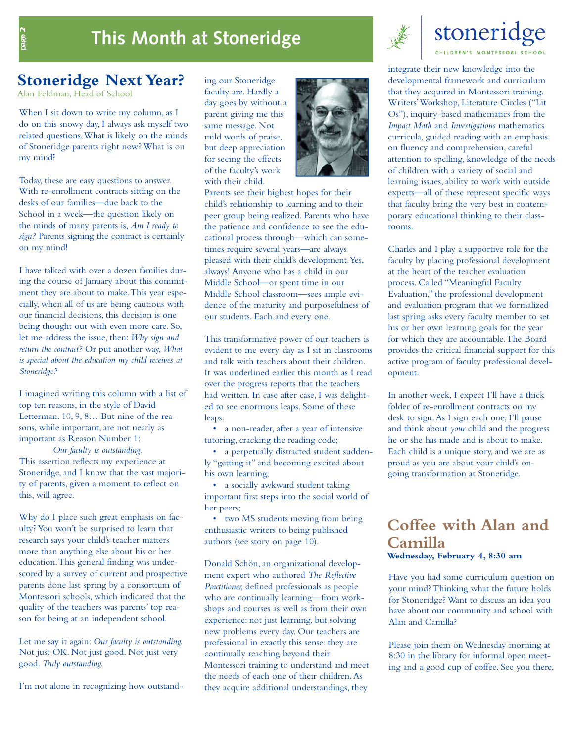### **This Month at Stoneridge**



# stoneridge

**Stoneridge Next Year?**

Alan Feldman, Head of School

When I sit down to write my column, as I do on this snowy day, I always ask myself two related questions,What is likely on the minds of Stoneridge parents right now? What is on my mind?

Today, these are easy questions to answer. With re-enrollment contracts sitting on the desks of our families—due back to the School in a week—the question likely on the minds of many parents is, *Am I ready to sign?* Parents signing the contract is certainly on my mind!

I have talked with over a dozen families during the course of January about this commitment they are about to make.This year especially, when all of us are being cautious with our financial decisions, this decision is one being thought out with even more care. So, let me address the issue, then: *Why sign and return the contract?* Or put another way, *What is special about the education my child receives at Stoneridge?*

I imagined writing this column with a list of top ten reasons, in the style of David Letterman. 10, 9, 8… But nine of the reasons, while important, are not nearly as important as Reason Number 1:

*Our faculty is outstanding.* This assertion reflects my experience at Stoneridge, and I know that the vast majority of parents, given a moment to reflect on this, will agree.

Why do I place such great emphasis on faculty? You won't be surprised to learn that research says your child's teacher matters more than anything else about his or her education.This general finding was underscored by a survey of current and prospective parents done last spring by a consortium of Montessori schools, which indicated that the quality of the teachers was parents' top reason for being at an independent school.

Let me say it again: *Our faculty is outstanding.* Not just OK. Not just good. Not just very good. *Truly outstanding.*

I'm not alone in recognizing how outstand-

ing our Stoneridge faculty are. Hardly a day goes by without a parent giving me this same message. Not mild words of praise, but deep appreciation for seeing the effects of the faculty's work with their child.



Parents see their highest hopes for their child's relationship to learning and to their peer group being realized. Parents who have the patience and confidence to see the educational process through—which can sometimes require several years—are always pleased with their child's development.Yes, always! Anyone who has a child in our Middle School—or spent time in our Middle School classroom—sees ample evidence of the maturity and purposefulness of our students. Each and every one.

This transformative power of our teachers is evident to me every day as I sit in classrooms and talk with teachers about their children. It was underlined earlier this month as I read over the progress reports that the teachers had written. In case after case, I was delighted to see enormous leaps. Some of these leaps:

• a non-reader, after a year of intensive tutoring, cracking the reading code;

• a perpetually distracted student suddenly "getting it" and becoming excited about his own learning;

• a socially awkward student taking important first steps into the social world of her peers;

• two MS students moving from being enthusiastic writers to being published authors (see story on page 10).

Donald Schön, an organizational development expert who authored *The Reflective Practitioner,* defined professionals as people who are continually learning—from workshops and courses as well as from their own experience: not just learning, but solving new problems every day. Our teachers are professional in exactly this sense: they are continually reaching beyond their Montessori training to understand and meet the needs of each one of their children.As they acquire additional understandings, they

integrate their new knowledge into the developmental framework and curriculum that they acquired in Montessori training. Writers'Workshop, Literature Circles ("Lit Os"), inquiry-based mathematics from the *Impact Math* and *Investigations* mathematics curricula, guided reading with an emphasis on fluency and comprehension, careful attention to spelling, knowledge of the needs of children with a variety of social and learning issues, ability to work with outside experts—all of these represent specific ways that faculty bring the very best in contemporary educational thinking to their classrooms.

Charles and I play a supportive role for the faculty by placing professional development at the heart of the teacher evaluation process. Called "Meaningful Faculty Evaluation," the professional development and evaluation program that we formalized last spring asks every faculty member to set his or her own learning goals for the year for which they are accountable.The Board provides the critical financial support for this active program of faculty professional development.

In another week, I expect I'll have a thick folder of re-enrollment contracts on my desk to sign.As I sign each one, I'll pause and think about *your* child and the progress he or she has made and is about to make. Each child is a unique story, and we are as proud as you are about your child's ongoing transformation at Stoneridge.

#### **Coffee with Alan and Camilla Wednesday, February 4, 8:30 am**

Have you had some curriculum question on your mind? Thinking what the future holds for Stoneridge? Want to discuss an idea you have about our community and school with Alan and Camilla?

Please join them on Wednesday morning at 8:30 in the library for informal open meeting and a good cup of coffee. See you there.

page 2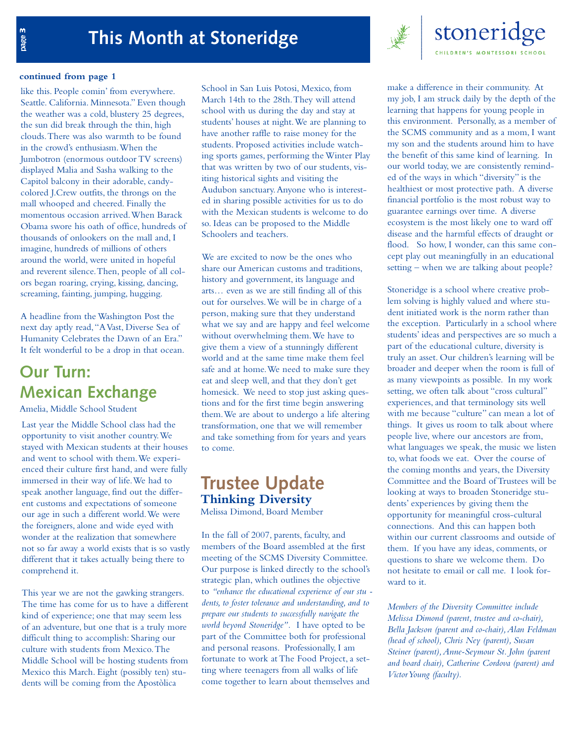

#### **continued from page 1**

like this. People comin' from everywhere. Seattle. California. Minnesota." Even though the weather was a cold, blustery 25 degrees, the sun did break through the thin, high clouds.There was also warmth to be found in the crowd's enthusiasm.When the Jumbotron (enormous outdoor TV screens) displayed Malia and Sasha walking to the Capitol balcony in their adorable, candycolored J.Crew outfits, the throngs on the mall whooped and cheered. Finally the momentous occasion arrived.When Barack Obama swore his oath of office, hundreds of thousands of onlookers on the mall and, I imagine, hundreds of millions of others around the world, were united in hopeful and reverent silence.Then, people of all colors began roaring, crying, kissing, dancing, screaming, fainting, jumping, hugging.

A headline from the Washington Post the next day aptly read,"A Vast, Diverse Sea of Humanity Celebrates the Dawn of an Era." It felt wonderful to be a drop in that ocean.

### **Our Turn: Mexican Exchange**

Amelia, Middle School Student

Last year the Middle School class had the opportunity to visit another country.We stayed with Mexican students at their houses and went to school with them.We experienced their culture first hand, and were fully immersed in their way of life.We had to speak another language, find out the different customs and expectations of someone our age in such a different world.We were the foreigners, alone and wide eyed with wonder at the realization that somewhere not so far away a world exists that is so vastly different that it takes actually being there to comprehend it.

This year we are not the gawking strangers. The time has come for us to have a different kind of experience; one that may seem less of an adventure, but one that is a truly more difficult thing to accomplish: Sharing our culture with students from Mexico.The Middle School will be hosting students from Mexico this March. Eight (possibly ten) students will be coming from the Apostòlica

School in San Luis Potosi, Mexico, from March 14th to the 28th.They will attend school with us during the day and stay at students' houses at night.We are planning to have another raffle to raise money for the students. Proposed activities include watching sports games, performing the Winter Play that was written by two of our students, visiting historical sights and visiting the Audubon sanctuary.Anyone who is interested in sharing possible activities for us to do with the Mexican students is welcome to do so. Ideas can be proposed to the Middle Schoolers and teachers.

We are excited to now be the ones who share our American customs and traditions, history and government, its language and arts… even as we are still finding all of this out for ourselves.We will be in charge of a person, making sure that they understand what we say and are happy and feel welcome without overwhelming them.We have to give them a view of a stunningly different world and at the same time make them feel safe and at home.We need to make sure they eat and sleep well, and that they don't get homesick. We need to stop just asking questions and for the first time begin answering them.We are about to undergo a life altering transformation, one that we will remember and take something from for years and years to come.

#### **Trustee Update Thinking Diversity** Melissa Dimond, Board Member

In the fall of 2007, parents, faculty, and members of the Board assembled at the first meeting of the SCMS Diversity Committee. Our purpose is linked directly to the school's strategic plan, which outlines the objective to *"enhance the educational experience of our stu dents, to foster tolerance and understanding, and to prepare our students to successfully navigate the world beyond Stoneridge".* I have opted to be part of the Committee both for professional and personal reasons. Professionally, I am fortunate to work at The Food Project, a setting where teenagers from all walks of life come together to learn about themselves and

make a difference in their community. At my job, I am struck daily by the depth of the learning that happens for young people in this environment. Personally, as a member of the SCMS community and as a mom, I want my son and the students around him to have the benefit of this same kind of learning. In our world today, we are consistently reminded of the ways in which "diversity" is the healthiest or most protective path. A diverse financial portfolio is the most robust way to guarantee earnings over time. A diverse ecosystem is the most likely one to ward off disease and the harmful effects of draught or flood. So how, I wonder, can this same concept play out meaningfully in an educational setting – when we are talking about people?

Stoneridge is a school where creative problem solving is highly valued and where student initiated work is the norm rather than the exception. Particularly in a school where students' ideas and perspectives are so much a part of the educational culture, diversity is truly an asset. Our children's learning will be broader and deeper when the room is full of as many viewpoints as possible. In my work setting, we often talk about "cross cultural" experiences, and that terminology sits well with me because "culture" can mean a lot of things. It gives us room to talk about where people live, where our ancestors are from, what languages we speak, the music we listen to, what foods we eat. Over the course of the coming months and years, the Diversity Committee and the Board of Trustees will be looking at ways to broaden Stoneridge students' experiences by giving them the opportunity for meaningful cross-cultural connections. And this can happen both within our current classrooms and outside of them. If you have any ideas, comments, or questions to share we welcome them. Do not hesitate to email or call me. I look forward to it.

*Members of the Diversity Committee include Melissa Dimond (parent, trustee and co-chair), Bella Jackson (parent and co-chair),Alan Feldman (head of school), Chris Ney (parent), Susan Steiner (parent),Anne-Seymour St. John (parent and board chair), Catherine Cordova (parent) and Victor Young (faculty).*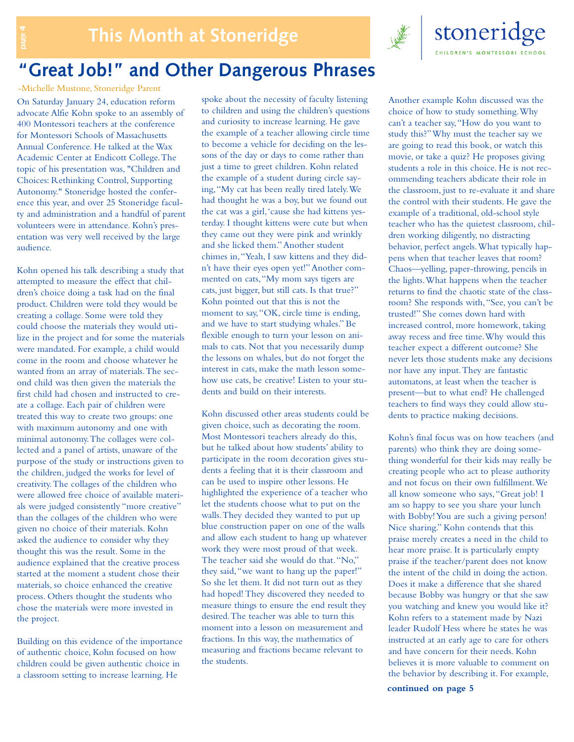

### **"Great Job!" and Other Dangerous Phrases**

On Saturday January 24, education reform advocate Alfie Kohn spoke to an assembly of 400 Montessori teachers at the conference for Montessori Schools of Massachusetts Annual Conference. He talked at the Wax Academic Center at Endicott College.The topic of his presentation was, "Children and Choices: Rethinking Control, Supporting Autonomy." Stoneridge hosted the conference this year, and over 25 Stoneridge faculty and administration and a handful of parent volunteers were in attendance. Kohn's presentation was very well received by the large audience. -Michelle Mustone, Stoneridge Parent

Kohn opened his talk describing a study that attempted to measure the effect that children's choice doing a task had on the final product. Children were told they would be creating a collage. Some were told they could choose the materials they would utilize in the project and for some the materials were mandated. For example, a child would come in the room and choose whatever he wanted from an array of materials.The second child was then given the materials the first child had chosen and instructed to create a collage. Each pair of children were treated this way to create two groups: one with maximum autonomy and one with minimal autonomy.The collages were collected and a panel of artists, unaware of the purpose of the study or instructions given to the children, judged the works for level of creativity.The collages of the children who were allowed free choice of available materials were judged consistently "more creative" than the collages of the children who were given no choice of their materials. Kohn asked the audience to consider why they thought this was the result. Some in the audience explained that the creative process started at the moment a student chose their materials, so choice enhanced the creative process. Others thought the students who chose the materials were more invested in the project.

Building on this evidence of the importance of authentic choice, Kohn focused on how children could be given authentic choice in a classroom setting to increase learning. He

spoke about the necessity of faculty listening to children and using the children's questions and curiosity to increase learning. He gave the example of a teacher allowing circle time to become a vehicle for deciding on the lessons of the day or days to come rather than just a time to greet children. Kohn related the example of a student during circle saying,"My cat has been really tired lately.We had thought he was a boy, but we found out the cat was a girl,'cause she had kittens yesterday. I thought kittens were cute but when they came out they were pink and wrinkly and she licked them."Another student chimes in,"Yeah, I saw kittens and they didn't have their eyes open yet!"Another commented on cats,"My mom says tigers are cats, just bigger, but still cats. Is that true?" Kohn pointed out that this is not the moment to say,"OK, circle time is ending, and we have to start studying whales." Be flexible enough to turn your lesson on animals to cats. Not that you necessarily dump the lessons on whales, but do not forget the interest in cats, make the math lesson somehow use cats, be creative! Listen to your students and build on their interests.

Kohn discussed other areas students could be given choice, such as decorating the room. Most Montessori teachers already do this, but he talked about how students' ability to participate in the room decoration gives students a feeling that it is their classroom and can be used to inspire other lessons. He highlighted the experience of a teacher who let the students choose what to put on the walls.They decided they wanted to put up blue construction paper on one of the walls and allow each student to hang up whatever work they were most proud of that week. The teacher said she would do that."No," they said,"we want to hang up the paper!" So she let them. It did not turn out as they had hoped! They discovered they needed to measure things to ensure the end result they desired.The teacher was able to turn this moment into a lesson on measurement and fractions. In this way, the mathematics of measuring and fractions became relevant to the students.

Another example Kohn discussed was the choice of how to study something.Why can't a teacher say,"How do you want to study this?"Why must the teacher say we are going to read this book, or watch this movie, or take a quiz? He proposes giving students a role in this choice. He is not recommending teachers abdicate their role in the classroom, just to re-evaluate it and share the control with their students. He gave the example of a traditional, old-school style teacher who has the quietest classroom, children working diligently, no distracting behavior, perfect angels.What typically happens when that teacher leaves that room? Chaos—yelling, paper-throwing, pencils in the lights.What happens when the teacher returns to find the chaotic state of the classroom? She responds with,"See, you can't be trusted!" She comes down hard with increased control, more homework, taking away recess and free time.Why would this teacher expect a different outcome? She never lets those students make any decisions nor have any input.They are fantastic automatons, at least when the teacher is present—but to what end? He challenged teachers to find ways they could allow students to practice making decisions.

stoneridge

**CHILDREN'S MONTESSORI SCHOOL** 

Kohn's final focus was on how teachers (and parents) who think they are doing something wonderful for their kids may really be creating people who act to please authority and not focus on their own fulfillment.We all know someone who says,"Great job! I am so happy to see you share your lunch with Bobby! You are such a giving person! Nice sharing." Kohn contends that this praise merely creates a need in the child to hear more praise. It is particularly empty praise if the teacher/parent does not know the intent of the child in doing the action. Does it make a difference that she shared because Bobby was hungry or that she saw you watching and knew you would like it? Kohn refers to a statement made by Nazi leader Rudolf Hess where he states he was instructed at an early age to care for others and have concern for their needs. Kohn believes it is more valuable to comment on the behavior by describing it. For example,

**continued on page 5**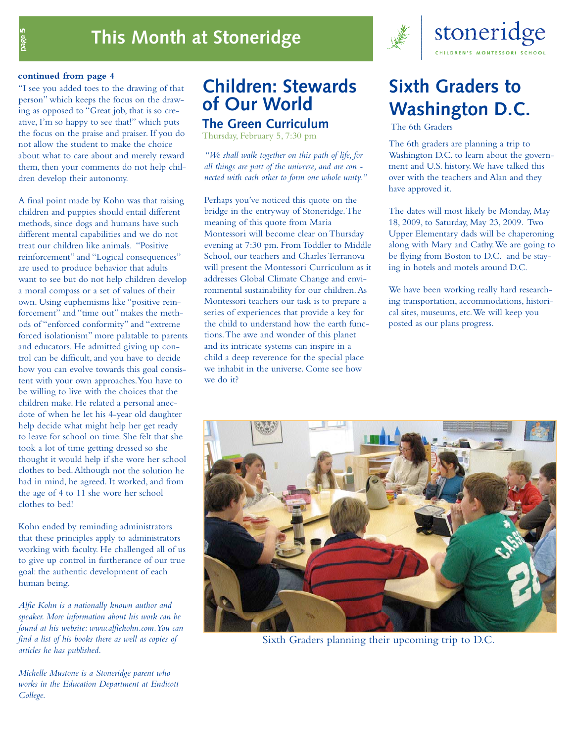

#### **continued from page 4**

page 5

"I see you added toes to the drawing of that person" which keeps the focus on the drawing as opposed to "Great job, that is so creative, I'm so happy to see that!" which puts the focus on the praise and praiser. If you do not allow the student to make the choice about what to care about and merely reward them, then your comments do not help children develop their autonomy.

A final point made by Kohn was that raising children and puppies should entail different methods, since dogs and humans have such different mental capabilities and we do not treat our children like animals. "Positive reinforcement" and "Logical consequences" are used to produce behavior that adults want to see but do not help children develop a moral compass or a set of values of their own. Using euphemisms like "positive reinforcement" and "time out" makes the methods of "enforced conformity" and "extreme forced isolationism" more palatable to parents and educators. He admitted giving up control can be difficult, and you have to decide how you can evolve towards this goal consistent with your own approaches.You have to be willing to live with the choices that the children make. He related a personal anecdote of when he let his 4-year old daughter help decide what might help her get ready to leave for school on time. She felt that she took a lot of time getting dressed so she thought it would help if she wore her school clothes to bed.Although not the solution he had in mind, he agreed. It worked, and from the age of 4 to 11 she wore her school clothes to bed!

Kohn ended by reminding administrators that these principles apply to administrators working with faculty. He challenged all of us to give up control in furtherance of our true goal: the authentic development of each human being.

*Alfie Kohn is a nationally known author and speaker. More information about his work can be found at his website: www.alfiekohn.com.You can find a list of his books there as well as copies of articles he has published.*

*Michelle Mustone is a Stoneridge parent who works in the Education Department at Endicott College.*

### **Children: Stewards of Our World The Green Curriculum**

Thursday, February 5, 7:30 pm

*"We shall walk together on this path of life, for all things are part of the universe, and are con nected with each other to form one whole unity."*

Perhaps you've noticed this quote on the bridge in the entryway of Stoneridge.The meaning of this quote from Maria Montessori will become clear on Thursday evening at 7:30 pm. From Toddler to Middle School, our teachers and Charles Terranova will present the Montessori Curriculum as it addresses Global Climate Change and environmental sustainability for our children.As Montessori teachers our task is to prepare a series of experiences that provide a key for the child to understand how the earth functions.The awe and wonder of this planet and its intricate systems can inspire in a child a deep reverence for the special place we inhabit in the universe. Come see how we do it?

# **Sixth Graders to Washington D.C.**

The 6th Graders

The 6th graders are planning a trip to Washington D.C. to learn about the government and U.S. history.We have talked this over with the teachers and Alan and they have approved it.

The dates will most likely be Monday, May 18, 2009, to Saturday, May 23, 2009. Two Upper Elementary dads will be chaperoning along with Mary and Cathy.We are going to be flying from Boston to D.C. and be staying in hotels and motels around D.C.

We have been working really hard researching transportation, accommodations, historical sites, museums, etc.We will keep you posted as our plans progress.



Sixth Graders planning their upcoming trip to D.C.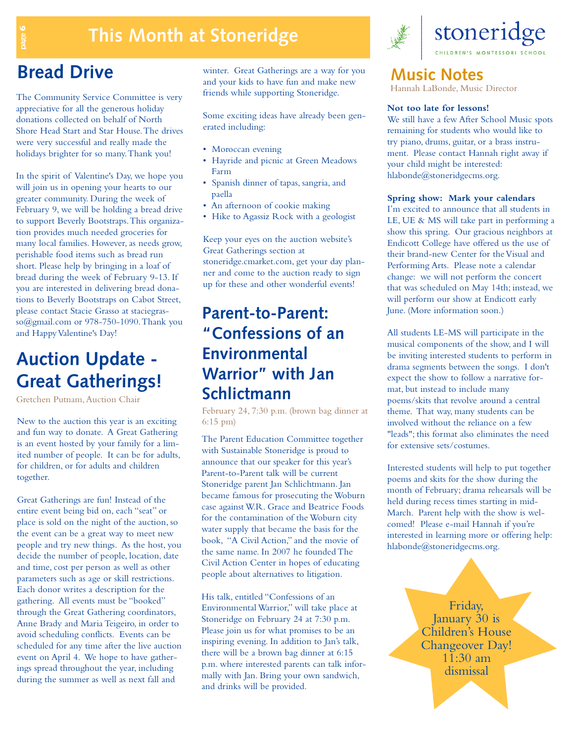## **This Month at Stoneridge**

The Community Service Committee is very appreciative for all the generous holiday donations collected on behalf of North Shore Head Start and Star House.The drives were very successful and really made the holidays brighter for so many.Thank you!

In the spirit of Valentine's Day, we hope you will join us in opening your hearts to our greater community. During the week of February 9, we will be holding a bread drive to support Beverly Bootstraps.This organization provides much needed groceries for many local families. However, as needs grow, perishable food items such as bread run short. Please help by bringing in a loaf of bread during the week of February 9-13. If you are interested in delivering bread donations to Beverly Bootstraps on Cabot Street, please contact Stacie Grasso at staciegrasso@gmail.com or 978-750-1090.Thank you and Happy Valentine's Day!

### **Auction Update - Great Gatherings!**

Gretchen Putnam,Auction Chair

New to the auction this year is an exciting and fun way to donate. A Great Gathering is an event hosted by your family for a limited number of people. It can be for adults, for children, or for adults and children together.

Great Gatherings are fun! Instead of the entire event being bid on, each "seat" or place is sold on the night of the auction, so the event can be a great way to meet new people and try new things. As the host, you decide the number of people, location, date and time, cost per person as well as other parameters such as age or skill restrictions. Each donor writes a description for the gathering. All events must be "booked" through the Great Gathering coordinators, Anne Brady and Maria Teigeiro, in order to avoid scheduling conflicts. Events can be scheduled for any time after the live auction event on April 4. We hope to have gatherings spread throughout the year, including during the summer as well as next fall and

**Bread Drive** winter. Great Gatherings are a way for you and your kids to have fun and make new friends while supporting Stoneridge.

> Some exciting ideas have already been generated including:

- Moroccan evening
- Hayride and picnic at Green Meadows Farm
- Spanish dinner of tapas, sangria, and paella
- An afternoon of cookie making
- Hike to Agassiz Rock with a geologist

Keep your eyes on the auction website's Great Gatherings section at stoneridge.cmarket.com, get your day planner and come to the auction ready to sign up for these and other wonderful events!

### **Parent-to-Parent: "Confessions of an Environmental Warrior" with Jan Schlictmann**

February 24, 7:30 p.m. (brown bag dinner at 6:15 pm)

The Parent Education Committee together with Sustainable Stoneridge is proud to announce that our speaker for this year's Parent-to-Parent talk will be current Stoneridge parent Jan Schlichtmann. Jan became famous for prosecuting the Woburn case against W.R. Grace and Beatrice Foods for the contamination of the Woburn city water supply that became the basis for the book, "A Civil Action," and the movie of the same name. In 2007 he founded The Civil Action Center in hopes of educating people about alternatives to litigation.

His talk, entitled "Confessions of an Environmental Warrior," will take place at Stoneridge on February 24 at 7:30 p.m. Please join us for what promises to be an inspiring evening. In addition to Jan's talk, there will be a brown bag dinner at 6:15 p.m. where interested parents can talk informally with Jan. Bring your own sandwich, and drinks will be provided.



stoneridge **ILDREN'S MONTESSORI SCHOOL** 

#### **Music Notes**

Hannah LaBonde, Music Director

#### **Not too late for lessons!**

We still have a few After School Music spots remaining for students who would like to try piano, drums, guitar, or a brass instrument. Please contact Hannah right away if your child might be interested: hlabonde@stoneridgecms.org.

#### **Spring show: Mark your calendars**

I'm excited to announce that all students in LE, UE & MS will take part in performing a show this spring. Our gracious neighbors at Endicott College have offered us the use of their brand-new Center for the Visual and Performing Arts. Please note a calendar change: we will not perform the concert that was scheduled on May 14th; instead, we will perform our show at Endicott early June. (More information soon.)

All students LE-MS will participate in the musical components of the show, and I will be inviting interested students to perform in drama segments between the songs. I don't expect the show to follow a narrative format, but instead to include many poems/skits that revolve around a central theme. That way, many students can be involved without the reliance on a few "leads"; this format also eliminates the need for extensive sets/costumes.

Interested students will help to put together poems and skits for the show during the month of February; drama rehearsals will be held during recess times starting in mid-March. Parent help with the show is welcomed! Please e-mail Hannah if you're interested in learning more or offering help: hlabonde@stoneridgecms.org.

> Friday,<br>January 30 is Children's House Changeover Day!  $11:30$  am dismissal

page 6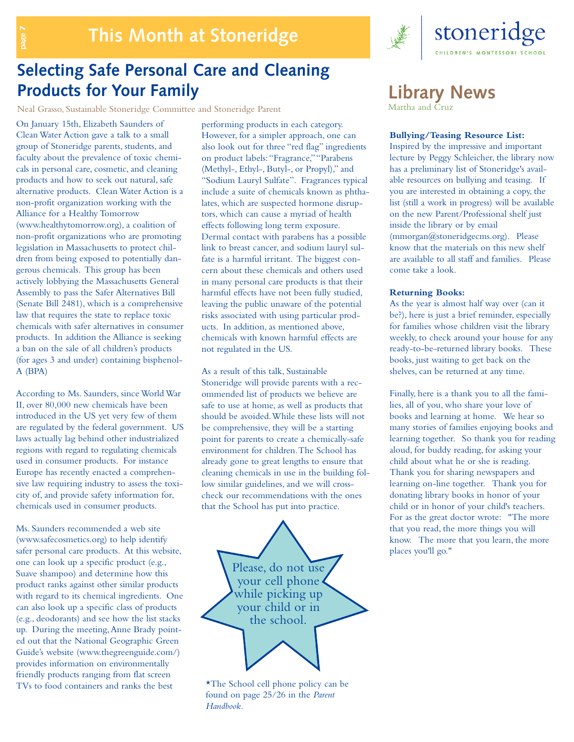

### **Selecting Safe Personal Care and Cleaning Products for Your Family**

Neal Grasso, Sustainable Stoneridge Committee and Stoneridge Parent

On January 15th, Elizabeth Saunders of Clean Water Action gave a talk to a small group of Stoneridge parents, students, and faculty about the prevalence of toxic chemicals in personal care, cosmetic,and cleaning products and how to seek out natural, safe alternative products. Clean Water Action is a non-profit organization working with the Alliance for a Healthy Tomorrow (www.healthytomorrow.org), a coalition of non-profit organizations who are promoting legislation in Massachusetts to protect children from being exposed to potentially dangerous chemicals. This group has been actively lobbying the Massachusetts General Assembly to pass the Safer Alternatives Bill (Senate Bill 2481), which is a comprehensive law that requires the state to replace toxic chemicals with safer alternatives in consumer products. In addition the Alliance is seeking a ban on the sale of all children's products (for ages 3 and under) containing bisphenol-A (BPA)

page

According to Ms. Saunders, since World War II, over 80,000 new chemicals have been introduced in the US yet very few of them are regulated by the federal government. US laws actually lag behind other industrialized regions with regard to regulating chemicals used in consumer products. For instance Europe has recently enacted a comprehensive law requiring industry to assess the toxicity of, and provide safety information for, chemicals used in consumer products.

Ms. Saunders recommended a web site (www.safecosmetics.org) to help identify safer personal care products. At this website, one can look up a specific product (e.g., Suave shampoo) and determine how this product ranks against other similar products with regard to its chemical ingredients. One can also look up a specific class of products (e.g., deodorants) and see how the list stacks up. During the meeting,Anne Brady pointed out that the National Geographic Green Guide's website (www.thegreenguide.com/) provides information on environmentally friendly products ranging from flat screen TVs to food containers and ranks the best

performing products in each category. However, for a simpler approach, one can also look out for three "red flag" ingredients on product labels:"Fragrance,""Parabens (Methyl-, Ethyl-, Butyl-, or Propyl)," and "Sodium Lauryl Sulfate". Fragrances typical include a suite of chemicals known as phthalates, which are suspected hormone disruptors, which can cause a myriad of health effects following long term exposure. Dermal contact with parabens has a possible link to breast cancer, and sodium lauryl sulfate is a harmful irritant. The biggest concern about these chemicals and others used in many personal care products is that their harmful effects have not been fully studied, leaving the public unaware of the potential risks associated with using particular products. In addition, as mentioned above, chemicals with known harmful effects are not regulated in the US.

As a result of this talk, Sustainable Stoneridge will provide parents with a recommended list of products we believe are safe to use at home, as well as products that should be avoided.While these lists will not be comprehensive, they will be a starting point for parents to create a chemically-safe environment for children.The School has already gone to great lengths to ensure that cleaning chemicals in use in the building follow similar guidelines, and we will crosscheck our recommendations with the ones that the School has put into practice.



\*The School cell phone policy can be found on page 25/26 in the *Parent Handbook.*

### **Library News**

Martha and Cruz

#### **Bullying/Teasing Resource List:**

Inspired by the impressive and important lecture by Peggy Schleicher, the library now has a preliminary list of Stoneridge's available resources on bullying and teasing. If you are interested in obtaining a copy, the list (still a work in progress) will be available on the new Parent/Professional shelf just inside the library or by email (mmorgan@stoneridgecms.org). Please know that the materials on this new shelf are available to all staff and families. Please come take a look.

#### **Returning Books:**

As the year is almost half way over (can it be?), here is just a brief reminder, especially for families whose children visit the library weekly, to check around your house for any ready-to-be-returned library books. These books, just waiting to get back on the shelves, can be returned at any time.

Finally, here is a thank you to all the families, all of you, who share your love of books and learning at home. We hear so many stories of families enjoying books and learning together. So thank you for reading aloud, for buddy reading, for asking your child about what he or she is reading. Thank you for sharing newspapers and learning on-line together. Thank you for donating library books in honor of your child or in honor of your child's teachers. For as the great doctor wrote: "The more that you read, the more things you will know. The more that you learn, the more places you'll go."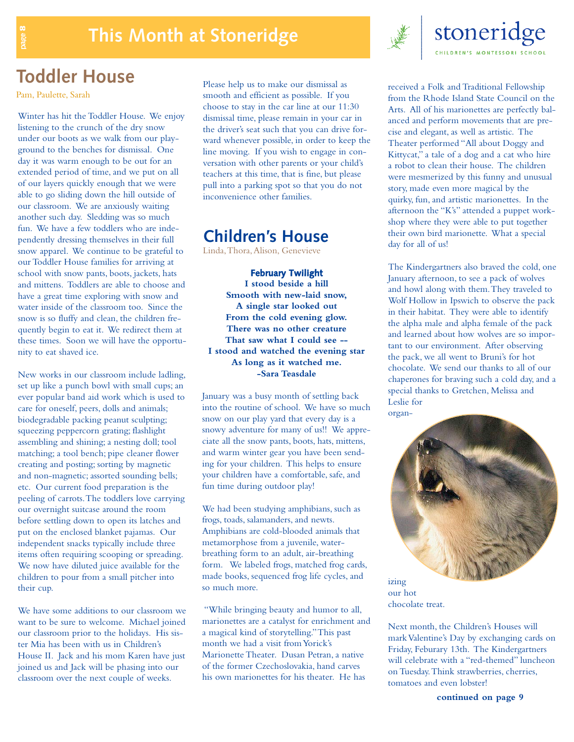

### **Toddler House**

Pam, Paulette, Sarah

page 8

Winter has hit the Toddler House. We enjoy listening to the crunch of the dry snow under our boots as we walk from our playground to the benches for dismissal. One day it was warm enough to be out for an extended period of time, and we put on all of our layers quickly enough that we were able to go sliding down the hill outside of our classroom. We are anxiously waiting another such day. Sledding was so much fun. We have a few toddlers who are independently dressing themselves in their full snow apparel. We continue to be grateful to our Toddler House families for arriving at school with snow pants, boots, jackets, hats and mittens. Toddlers are able to choose and have a great time exploring with snow and water inside of the classroom too. Since the snow is so fluffy and clean, the children frequently begin to eat it. We redirect them at these times. Soon we will have the opportunity to eat shaved ice.

New works in our classroom include ladling, set up like a punch bowl with small cups; an ever popular band aid work which is used to care for oneself, peers, dolls and animals; biodegradable packing peanut sculpting; squeezing peppercorn grating; flashlight assembling and shining;a nesting doll; tool matching; a tool bench; pipe cleaner flower creating and posting; sorting by magnetic and non-magnetic; assorted sounding bells; etc. Our current food preparation is the peeling of carrots.The toddlers love carrying our overnight suitcase around the room before settling down to open its latches and put on the enclosed blanket pajamas. Our independent snacks typically include three items often requiring scooping or spreading. We now have diluted juice available for the children to pour from a small pitcher into their cup.

We have some additions to our classroom we want to be sure to welcome. Michael joined our classroom prior to the holidays. His sister Mia has been with us in Children's House II. Jack and his mom Karen have just joined us and Jack will be phasing into our classroom over the next couple of weeks.

Please help us to make our dismissal as smooth and efficient as possible. If you choose to stay in the car line at our 11:30 dismissal time, please remain in your car in the driver's seat such that you can drive forward whenever possible, in order to keep the line moving. If you wish to engage in conversation with other parents or your child's teachers at this time, that is fine, but please pull into a parking spot so that you do not inconvenience other families.

### **Children's House**

Linda,Thora,Alison, Genevieve

**February Twilight I stood beside a hill Smooth with new-laid snow, A single star looked out From the cold evening glow. There was no other creature That saw what I could see -- I stood and watched the evening star As long as it watched me. -Sara Teasdale**

January was a busy month of settling back into the routine of school. We have so much snow on our play yard that every day is a snowy adventure for many of us!! We appreciate all the snow pants, boots, hats, mittens, and warm winter gear you have been sending for your children. This helps to ensure your children have a comfortable, safe, and fun time during outdoor play!

We had been studying amphibians, such as frogs, toads, salamanders, and newts. Amphibians are cold-blooded animals that metamorphose from a juvenile, waterbreathing form to an adult, air-breathing form. We labeled frogs, matched frog cards, made books, sequenced frog life cycles, and so much more.

"While bringing beauty and humor to all, marionettes are a catalyst for enrichment and a magical kind of storytelling."This past month we had a visit from Yorick's Marionette Theater. Dusan Petran,a native of the former Czechoslovakia, hand carves his own marionettes for his theater. He has

received a Folk and Traditional Fellowship from the Rhode Island State Council on the Arts. All of his marionettes are perfectly balanced and perform movements that are precise and elegant,as well as artistic. The Theater performed "All about Doggy and Kittycat," a tale of a dog and a cat who hire a robot to clean their house. The children were mesmerized by this funny and unusual story, made even more magical by the quirky, fun, and artistic marionettes. In the afternoon the "K's" attended a puppet workshop where they were able to put together their own bird marionette. What a special day for all of us!

The Kindergartners also braved the cold, one January afternoon, to see a pack of wolves and howl along with them.They traveled to Wolf Hollow in Ipswich to observe the pack in their habitat. They were able to identify the alpha male and alpha female of the pack and learned about how wolves are so important to our environment. After observing the pack, we all went to Bruni's for hot chocolate. We send our thanks to all of our chaperones for braving such a cold day, and a special thanks to Gretchen, Melissa and Leslie for organ-



our hot chocolate treat.

Next month, the Children's Houses will mark Valentine's Day by exchanging cards on Friday, Feburary 13th. The Kindergartners will celebrate with a "red-themed" luncheon on Tuesday.Think strawberries, cherries, tomatoes and even lobster!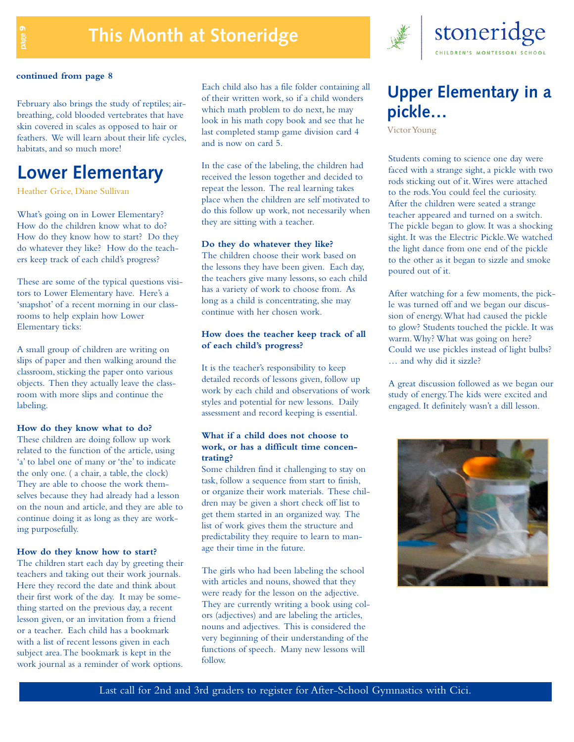## **This Month at Stoneridge**



February also brings the study of reptiles; airbreathing, cold blooded vertebrates that have skin covered in scales as opposed to hair or feathers. We will learn about their life cycles, habitats, and so much more!

### **Lower Elementary**

Heather Grice, Diane Sullivan

What's going on in Lower Elementary? How do the children know what to do? How do they know how to start? Do they do whatever they like? How do the teachers keep track of each child's progress?

These are some of the typical questions visitors to Lower Elementary have. Here's a 'snapshot' of a recent morning in our classrooms to help explain how Lower Elementary ticks:

A small group of children are writing on slips of paper and then walking around the classroom, sticking the paper onto various objects. Then they actually leave the classroom with more slips and continue the labeling.

#### **How do they know what to do?**

These children are doing follow up work related to the function of the article, using 'a' to label one of many or 'the' to indicate the only one. ( a chair, a table, the clock) They are able to choose the work themselves because they had already had a lesson on the noun and article, and they are able to continue doing it as long as they are working purposefully.

#### **How do they know how to start?**

The children start each day by greeting their teachers and taking out their work journals. Here they record the date and think about their first work of the day. It may be something started on the previous day, a recent lesson given, or an invitation from a friend or a teacher. Each child has a bookmark with a list of recent lessons given in each subject area.The bookmark is kept in the work journal as a reminder of work options.

Each child also has a file folder containing all of their written work, so if a child wonders which math problem to do next, he may look in his math copy book and see that he last completed stamp game division card 4 and is now on card 5.

In the case of the labeling, the children had received the lesson together and decided to repeat the lesson. The real learning takes place when the children are self motivated to do this follow up work, not necessarily when they are sitting with a teacher.

#### **Do they do whatever they like?**

The children choose their work based on the lessons they have been given. Each day, the teachers give many lessons, so each child has a variety of work to choose from. As long as a child is concentrating, she may continue with her chosen work.

#### **How does the teacher keep track of all of each child's progress?**

It is the teacher's responsibility to keep detailed records of lessons given, follow up work by each child and observations of work styles and potential for new lessons. Daily assessment and record keeping is essential.

#### **What if a child does not choose to work, or has a difficult time concentrating?**

Some children find it challenging to stay on task, follow a sequence from start to finish, or organize their work materials. These children may be given a short check off list to get them started in an organized way. The list of work gives them the structure and predictability they require to learn to manage their time in the future.

The girls who had been labeling the school with articles and nouns, showed that they were ready for the lesson on the adjective. They are currently writing a book using colors (adjectives) and are labeling the articles, nouns and adjectives. This is considered the very beginning of their understanding of the functions of speech. Many new lessons will follow.



### stoneridge LDREN'S MONTESSORI SCHOOL

### **Upper Elementary in a pickle…**

Victor Young

Students coming to science one day were faced with a strange sight, a pickle with two rods sticking out of it.Wires were attached to the rods.You could feel the curiosity. After the children were seated a strange teacher appeared and turned on a switch. The pickle began to glow. It was a shocking sight. It was the Electric Pickle.We watched the light dance from one end of the pickle to the other as it began to sizzle and smoke poured out of it.

After watching for a few moments, the pickle was turned off and we began our discussion of energy.What had caused the pickle to glow? Students touched the pickle. It was warm.Why? What was going on here? Could we use pickles instead of light bulbs? … and why did it sizzle?

A great discussion followed as we began our study of energy.The kids were excited and engaged. It definitely wasn't a dill lesson.

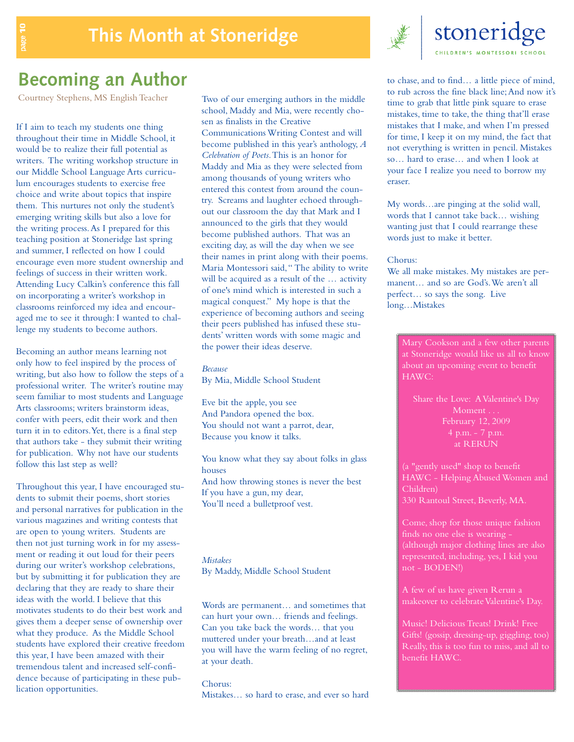

### **Becoming an Author**

Courtney Stephens, MS English Teacher

If I aim to teach my students one thing throughout their time in Middle School, it would be to realize their full potential as writers. The writing workshop structure in our Middle School Language Arts curriculum encourages students to exercise free choice and write about topics that inspire them. This nurtures not only the student's emerging writing skills but also a love for the writing process.As I prepared for this teaching position at Stoneridge last spring and summer, I reflected on how I could encourage even more student ownership and feelings of success in their written work. Attending Lucy Calkin's conference this fall on incorporating a writer's workshop in classrooms reinforced my idea and encouraged me to see it through: I wanted to challenge my students to become authors.

Becoming an author means learning not only how to feel inspired by the process of writing, but also how to follow the steps of a professional writer. The writer's routine may seem familiar to most students and Language Arts classrooms; writers brainstorm ideas, confer with peers, edit their work and then turn it in to editors.Yet, there is a final step that authors take - they submit their writing for publication. Why not have our students follow this last step as well?

Throughout this year, I have encouraged students to submit their poems, short stories and personal narratives for publication in the various magazines and writing contests that are open to young writers. Students are then not just turning work in for my assessment or reading it out loud for their peers during our writer's workshop celebrations, but by submitting it for publication they are declaring that they are ready to share their ideas with the world. I believe that this motivates students to do their best work and gives them a deeper sense of ownership over what they produce. As the Middle School students have explored their creative freedom this year, I have been amazed with their tremendous talent and increased self-confidence because of participating in these publication opportunities.

Two of our emerging authors in the middle school, Maddy and Mia, were recently chosen as finalists in the Creative Communications Writing Contest and will become published in this year's anthology, *A Celebration of Poets*.This is an honor for Maddy and Mia as they were selected from among thousands of young writers who entered this contest from around the country. Screams and laughter echoed throughout our classroom the day that Mark and I announced to the girls that they would become published authors. That was an exciting day, as will the day when we see their names in print along with their poems. Maria Montessori said," The ability to write will be acquired as a result of the … activity of one's mind which is interested in such a magical conquest." My hope is that the experience of becoming authors and seeing their peers published has infused these students' written words with some magic and the power their ideas deserve.

*Because* By Mia, Middle School Student

Eve bit the apple, you see And Pandora opened the box. You should not want a parrot, dear, Because you know it talks.

You know what they say about folks in glass houses And how throwing stones is never the best If you have a gun, my dear, You'll need a bulletproof vest.

*Mistakes* By Maddy, Middle School Student

Words are permanent… and sometimes that can hurt your own… friends and feelings. Can you take back the words… that you muttered under your breath…and at least you will have the warm feeling of no regret, at your death.

#### Chorus:

Mistakes… so hard to erase, and ever so hard

to chase, and to find… a little piece of mind, to rub across the fine black line;And now it's time to grab that little pink square to erase mistakes, time to take, the thing that'll erase mistakes that I make, and when I'm pressed for time, I keep it on my mind, the fact that not everything is written in pencil. Mistakes so… hard to erase… and when I look at your face I realize you need to borrow my eraser.

My words…are pinging at the solid wall, words that I cannot take back… wishing wanting just that I could rearrange these words just to make it better.

#### Chorus:

We all make mistakes. My mistakes are permanent… and so are God's.We aren't all perfect… so says the song. Live long…Mistakes

Mary Cookson and a few other parents at Stoneridge would like us all to know about an upcoming event to benefit HAWC:

Share the Love: AValentine's Day Moment . . . at RERUN

(a "gently used" shop to benefit HAWC - Helping Abused Women and Children) 330 Rantoul Street, Beverly, MA.

Come, shop for those unique fashion finds no one else is wearing - (although major clothing lines are also represented, including, yes, I kid you not - BODEN!)

A few of us have given Rerun a makeover to celebrate Valentine's Day.

Music! Delicious Treats! Drink! Free Gifts! (gossip, dressing-up, giggling, too) Really, this is too fun to miss, and all to benefit HAWC.

page 10